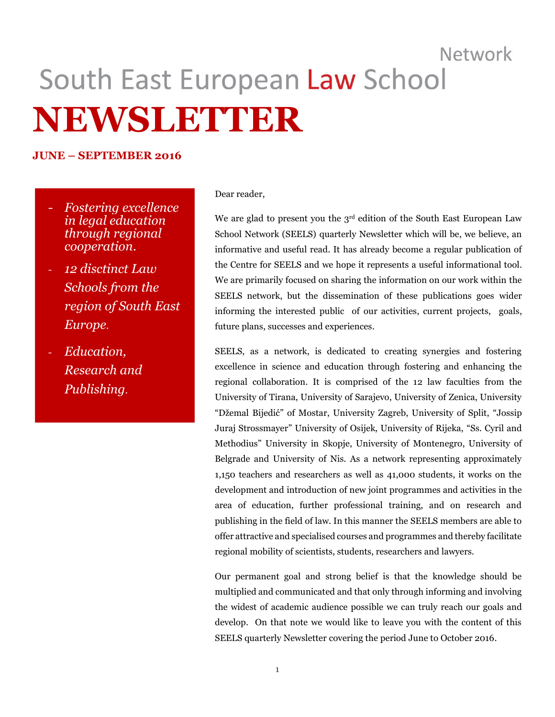# Network South East European Law School **NEWSLETTER**

#### **JUNE – SEPTEMBER 2016**

- *- Fostering excellence in legal education through regional cooperation*.
- *- 12 disctinct Law Schools from the region of South East Europe*.
- *- Education, Research and Publishing*.

#### Dear reader,

We are glad to present you the 3<sup>rd</sup> edition of the South East European Law School Network (SEELS) quarterly Newsletter which will be, we believe, an informative and useful read. It has already become a regular publication of the Centre for SEELS and we hope it represents a useful informational tool. We are primarily focused on sharing the information on our work within the SEELS network, but the dissemination of these publications goes wider informing the interested public of our activities, current projects, goals, future plans, successes and experiences.

SEELS, as a network, is dedicated to creating synergies and fostering excellence in science and education through fostering and enhancing the regional collaboration. It is comprised of the 12 law faculties from the University of Tirana, University of Sarajevo, University of Zenica, University "Džemal Bijedić" of Mostar, University Zagreb, University of Split, "Jossip Juraj Strossmayer" University of Osijek, University of Rijeka, "Ss. Cyril and Methodius" University in Skopje, University of Montenegro, University of Belgrade and University of Nis. As a network representing approximately 1,150 teachers and researchers as well as 41,000 students, it works on the development and introduction of new joint programmes and activities in the area of education, further professional training, and on research and publishing in the field of law. In this manner the SEELS members are able to offer attractive and specialised courses and programmes and thereby facilitate regional mobility of scientists, students, researchers and lawyers.

Our permanent goal and strong belief is that the knowledge should be multiplied and communicated and that only through informing and involving the widest of academic audience possible we can truly reach our goals and develop. On that note we would like to leave you with the content of this SEELS quarterly Newsletter covering the period June to October 2016.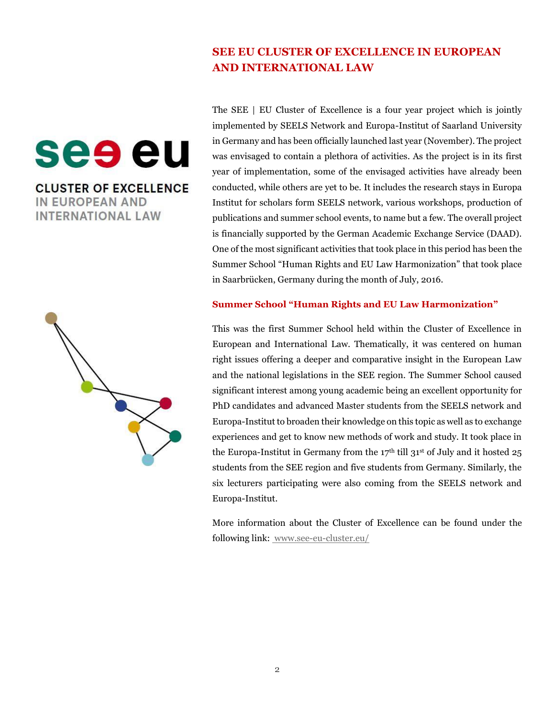#### **SEE EU CLUSTER OF EXCELLENCE IN EUROPEAN AND INTERNATIONAL LAW**

The SEE | EU Cluster of Excellence is a four year project which is jointly implemented by SEELS Network and Europa-Institut of Saarland University in Germany and has been officially launched last year (November). The project was envisaged to contain a plethora of activities. As the project is in its first year of implementation, some of the envisaged activities have already been conducted, while others are yet to be. It includes the research stays in Europa Institut for scholars form SEELS network, various workshops, production of publications and summer school events, to name but a few. The overall project is financially supported by the German Academic Exchange Service (DAAD). One of the most significant activities that took place in this period has been the Summer School "Human Rights and EU Law Harmonization" that took place in Saarbrücken, Germany during the month of July, 2016.

#### **Summer School "Human Rights and EU Law Harmonization"**

This was the first Summer School held within the Cluster of Excellence in European and International Law. Thematically, it was centered on human right issues offering a deeper and comparative insight in the European Law and the national legislations in the SEE region. The Summer School caused significant interest among young academic being an excellent opportunity for PhD candidates and advanced Master students from the SEELS network and Europa-Institut to broaden their knowledge on this topic as well as to exchange experiences and get to know new methods of work and study. It took place in the Europa-Institut in Germany from the  $17<sup>th</sup>$  till  $31<sup>st</sup>$  of July and it hosted  $25$ students from the SEE region and five students from Germany. Similarly, the six lecturers participating were also coming from the SEELS network and Europa-Institut.

More information about the Cluster of Excellence can be found under the following link: www.see-eu-cluster.eu/

**CLUSTER OF EXCELLENCE IN EUROPEAN AND INTERNATIONAL LAW** 

see eu

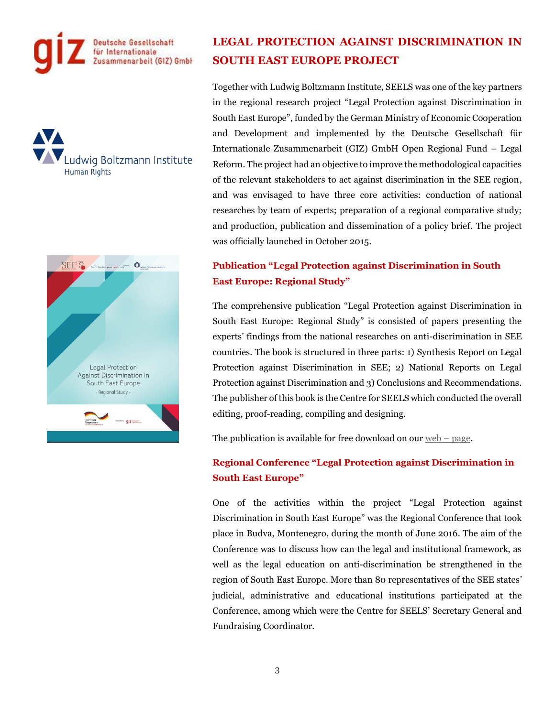





## **LEGAL PROTECTION AGAINST DISCRIMINATION IN SOUTH EAST EUROPE PROJECT**

Together with Ludwig Boltzmann Institute, SEELS was one of the key partners in the regional research project "Legal Protection against Discrimination in South East Europe", funded by the German Ministry of Economic Cooperation and Development and implemented by the Deutsche Gesellschaft für Internationale Zusammenarbeit (GIZ) GmbH Open Regional Fund – Legal Reform. The project had an objective to improve the methodological capacities of the relevant stakeholders to act against discrimination in the SEE region, and was envisaged to have three core activities: conduction of national researches by team of experts; preparation of a regional comparative study; and production, publication and dissemination of a policy brief. The project was officially launched in October 2015.

#### **Publication "Legal Protection against Discrimination in South East Europe: Regional Study"**

The comprehensive publication "Legal Protection against Discrimination in South East Europe: Regional Study" is consisted of papers presenting the experts' findings from the national researches on anti-discrimination in SEE countries. The book is structured in three parts: 1) Synthesis Report on Legal Protection against Discrimination in SEE; 2) National Reports on Legal Protection against Discrimination and 3) Conclusions and Recommendations. The publisher of this book is the Centre for SEELS which conducted the overall editing, proof-reading, compiling and designing.

The publication is available for free download on our  $web - page$ .

#### **Regional Conference "Legal Protection against Discrimination in South East Europe"**

One of the activities within the project "Legal Protection against Discrimination in South East Europe" was the Regional Conference that took place in Budva, Montenegro, during the month of June 2016. The aim of the Conference was to discuss how can the legal and institutional framework, as well as the legal education on anti-discrimination be strengthened in the region of South East Europe. More than 80 representatives of the SEE states' judicial, administrative and educational institutions participated at the Conference, among which were the Centre for SEELS' Secretary General and Fundraising Coordinator.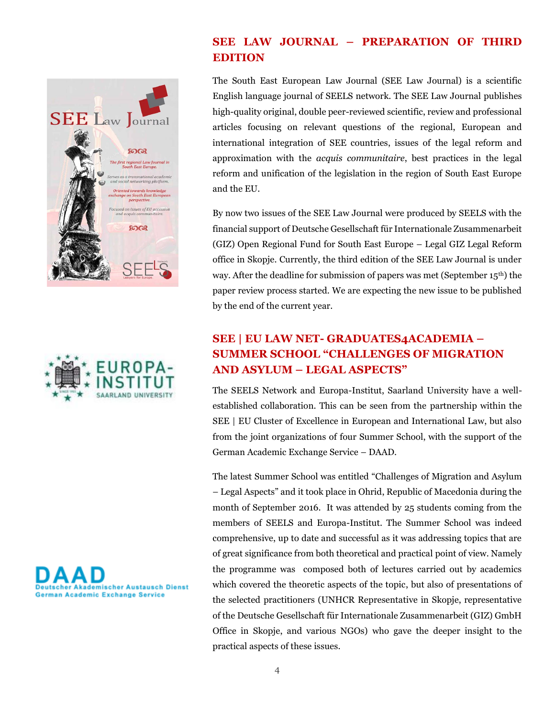





#### **SEE LAW JOURNAL – PREPARATION OF THIRD EDITION**

The South East European Law Journal (SEE Law Journal) is a scientific English language journal of SEELS network. The SEE Law Journal publishes high-quality original, double peer-reviewed scientific, review and professional articles focusing on relevant questions of the regional, European and international integration of SEE countries, issues of the legal reform and approximation with the *acquis communitaire*, best practices in the legal reform and unification of the legislation in the region of South East Europe and the EU.

By now two issues of the SEE Law Journal were produced by SEELS with the financial support of Deutsche Gesellschaft für Internationale Zusammenarbeit (GIZ) Open Regional Fund for South East Europe – Legal GIZ Legal Reform office in Skopje. Currently, the third edition of the SEE Law Journal is under way. After the deadline for submission of papers was met (September 15th) the paper review process started. We are expecting the new issue to be published by the end of the current year.

## **SEE | EU LAW NET- GRADUATES4ACADEMIA – SUMMER SCHOOL "CHALLENGES OF MIGRATION AND ASYLUM – LEGAL ASPECTS"**

The SEELS Network and Europa-Institut, Saarland University have a wellestablished collaboration. This can be seen from the partnership within the SEE | EU Cluster of Excellence in European and International Law, but also from the joint organizations of four Summer School, with the support of the German Academic Exchange Service – DAAD.

The latest Summer School was entitled "Challenges of Migration and Asylum – Legal Aspects" and it took place in Ohrid, Republic of Macedonia during the month of September 2016. It was attended by 25 students coming from the members of SEELS and Europa-Institut. The Summer School was indeed comprehensive, up to date and successful as it was addressing topics that are of great significance from both theoretical and practical point of view. Namely the programme was composed both of lectures carried out by academics which covered the theoretic aspects of the topic, but also of presentations of the selected practitioners (UNHCR Representative in Skopje, representative of the Deutsche Gesellschaft für Internationale Zusammenarbeit (GIZ) GmbH Office in Skopje, and various NGOs) who gave the deeper insight to the practical aspects of these issues.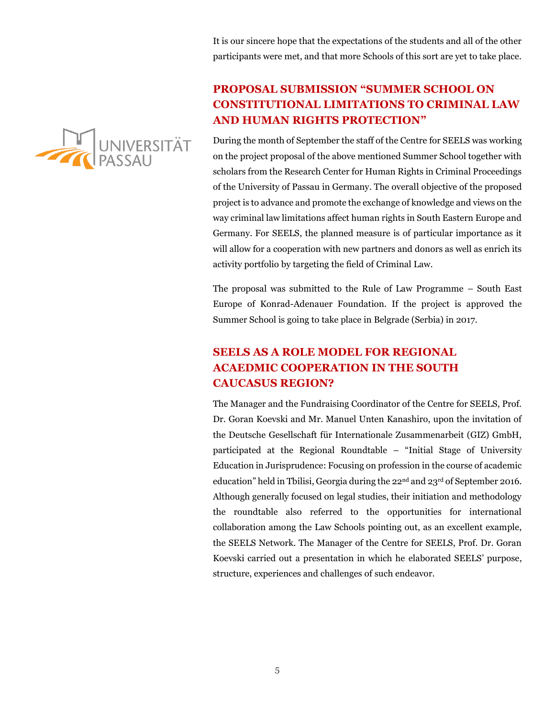It is our sincere hope that the expectations of the students and all of the other participants were met, and that more Schools of this sort are yet to take place.



#### **PROPOSAL SUBMISSION "SUMMER SCHOOL ON CONSTITUTIONAL LIMITATIONS TO CRIMINAL LAW AND HUMAN RIGHTS PROTECTION"**

During the month of September the staff of the Centre for SEELS was working on the project proposal of the above mentioned Summer School together with scholars from the Research Center for Human Rights in Criminal Proceedings of the University of Passau in Germany. The overall objective of the proposed project is to advance and promote the exchange of knowledge and views on the way criminal law limitations affect human rights in South Eastern Europe and Germany. For SEELS, the planned measure is of particular importance as it will allow for a cooperation with new partners and donors as well as enrich its activity portfolio by targeting the field of Criminal Law.

The proposal was submitted to the Rule of Law Programme – South East Europe of Konrad-Adenauer Foundation. If the project is approved the Summer School is going to take place in Belgrade (Serbia) in 2017.

## **SEELS AS A ROLE MODEL FOR REGIONAL ACAEDMIC COOPERATION IN THE SOUTH CAUCASUS REGION?**

The Manager and the Fundraising Coordinator of the Centre for SEELS, Prof. Dr. Goran Koevski and Mr. Manuel Unten Kanashiro, upon the invitation of the Deutsche Gesellschaft für Internationale Zusammenarbeit (GIZ) GmbH, participated at the Regional Roundtable – "Initial Stage of University Education in Jurisprudence: Focusing on profession in the course of academic education" held in Tbilisi, Georgia during the 22nd and 23rd of September 2016. Although generally focused on legal studies, their initiation and methodology the roundtable also referred to the opportunities for international collaboration among the Law Schools pointing out, as an excellent example, the SEELS Network. The Manager of the Centre for SEELS, Prof. Dr. Goran Koevski carried out a presentation in which he elaborated SEELS' purpose, structure, experiences and challenges of such endeavor.